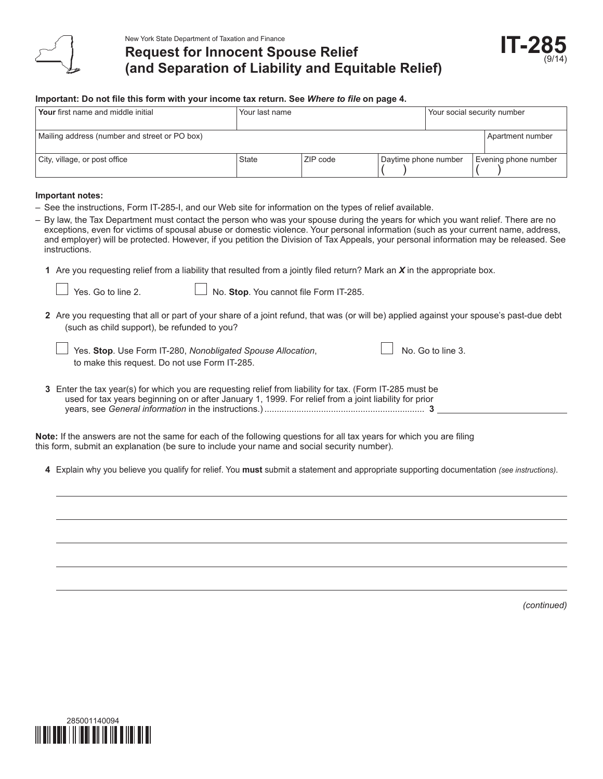

# **Request for Innocent Spouse Relief (and Separation of Liability and Equitable Relief)**



#### **Important: Do not file this form with your income tax return. See** *Where to file* **on page 4.**

| Your first name and middle initial            | Your last name |          | Your social security number |  |                      |
|-----------------------------------------------|----------------|----------|-----------------------------|--|----------------------|
|                                               |                |          |                             |  |                      |
| Mailing address (number and street or PO box) |                |          |                             |  | Apartment number     |
|                                               |                |          |                             |  |                      |
| City, village, or post office                 | <b>State</b>   | ZIP code | Daytime phone number        |  | Evening phone number |

#### **Important notes:**

- See the instructions, Form IT-285-I, and our Web site for information on the types of relief available.
- By law, the Tax Department must contact the person who was your spouse during the years for which you want relief. There are no exceptions, even for victims of spousal abuse or domestic violence. Your personal information (such as your current name, address, and employer) will be protected. However, if you petition the Division of Tax Appeals, your personal information may be released. See instructions.
	- **1** Are you requesting relief from a liability that resulted from a jointly filed return? Mark an *X* in the appropriate box.

- Yes. Go to line 2. **No. Stop**. You cannot file Form IT-285.
- **2** Are you requesting that all or part of your share of a joint refund, that was (or will be) applied against your spouse's past-due debt (such as child support), be refunded to you?

| Yes. Stop. Use Form IT-280, Nonobligated Spouse Allocation, | $\Box$ No. Go to line 3. |
|-------------------------------------------------------------|--------------------------|
| to make this request. Do not use Form IT-285.               |                          |

**3** Enter the tax year(s) for which you are requesting relief from liability for tax. (Form IT-285 must be used for tax years beginning on or after January 1, 1999. For relief from a joint liability for prior years, see *General information* in the instructions.)................................................................. **3**

**Note:** If the answers are not the same for each of the following questions for all tax years for which you are filing this form, submit an explanation (be sure to include your name and social security number).

**4** Explain why you believe you qualify for relief. You **must** submit a statement and appropriate supporting documentation *(see instructions)*.

*(continued)*

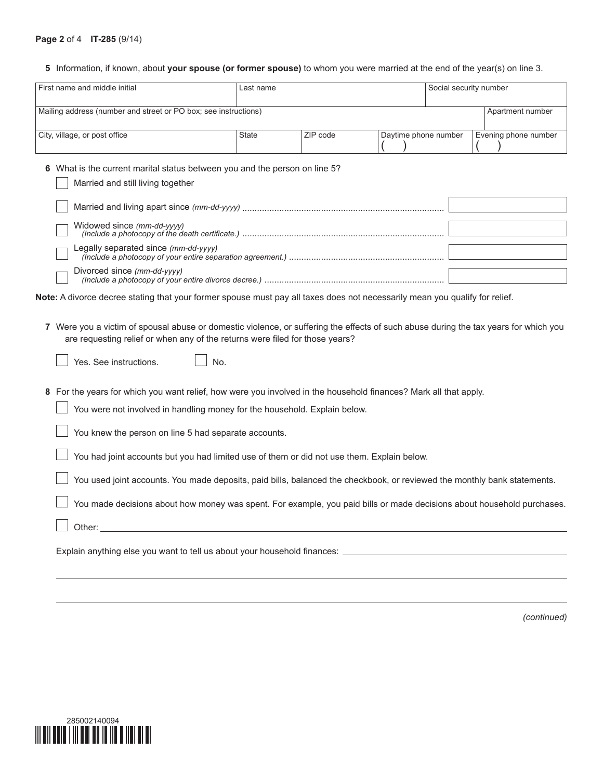#### **Page 2** of 4 **IT-285** (9/14)

## **5** Information, if known, about **your spouse (or former spouse)** to whom you were married at the end of the year(s) on line 3.

| First name and middle initial                                                                                                                                                                                                                                                                                                                                                                                                                                                                                                                                                                                       | Last name    |          | Social security number |  |                      |
|---------------------------------------------------------------------------------------------------------------------------------------------------------------------------------------------------------------------------------------------------------------------------------------------------------------------------------------------------------------------------------------------------------------------------------------------------------------------------------------------------------------------------------------------------------------------------------------------------------------------|--------------|----------|------------------------|--|----------------------|
| Mailing address (number and street or PO box; see instructions)                                                                                                                                                                                                                                                                                                                                                                                                                                                                                                                                                     |              |          |                        |  | Apartment number     |
| City, village, or post office                                                                                                                                                                                                                                                                                                                                                                                                                                                                                                                                                                                       | <b>State</b> | ZIP code | Daytime phone number   |  | Evening phone number |
| 6 What is the current marital status between you and the person on line 5?<br>Married and still living together<br>Legally separated since (mm-dd-yyyy)<br>Divorced since (mm-dd-yyyy)<br>Note: A divorce decree stating that your former spouse must pay all taxes does not necessarily mean you qualify for relief.                                                                                                                                                                                                                                                                                               |              |          |                        |  |                      |
| 7 Were you a victim of spousal abuse or domestic violence, or suffering the effects of such abuse during the tax years for which you<br>are requesting relief or when any of the returns were filed for those years?<br>Yes. See instructions.<br>No.                                                                                                                                                                                                                                                                                                                                                               |              |          |                        |  |                      |
| 8 For the years for which you want relief, how were you involved in the household finances? Mark all that apply.<br>You were not involved in handling money for the household. Explain below.<br>You knew the person on line 5 had separate accounts.<br>You had joint accounts but you had limited use of them or did not use them. Explain below.<br>You used joint accounts. You made deposits, paid bills, balanced the checkbook, or reviewed the monthly bank statements.<br>You made decisions about how money was spent. For example, you paid bills or made decisions about household purchases.<br>Other: |              |          |                        |  |                      |
| Explain anything else you want to tell us about your household finances: <b>Explain anything else</b> you want to tell us about your household finances:                                                                                                                                                                                                                                                                                                                                                                                                                                                            |              |          |                        |  |                      |

*(continued)*

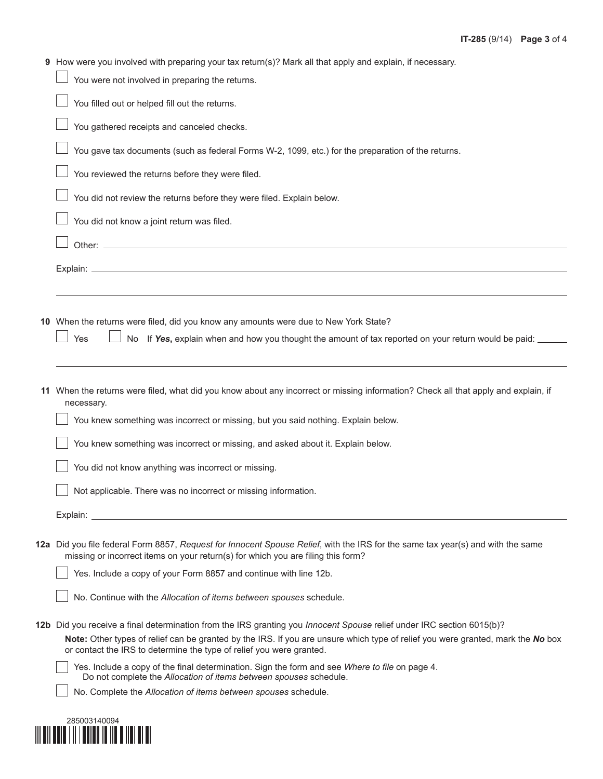| 9 How were you involved with preparing your tax return(s)? Mark all that apply and explain, if necessary.                                                                                               |
|---------------------------------------------------------------------------------------------------------------------------------------------------------------------------------------------------------|
| You were not involved in preparing the returns.                                                                                                                                                         |
| You filled out or helped fill out the returns.                                                                                                                                                          |
| You gathered receipts and canceled checks.                                                                                                                                                              |
| You gave tax documents (such as federal Forms W-2, 1099, etc.) for the preparation of the returns.                                                                                                      |
| You reviewed the returns before they were filed.                                                                                                                                                        |
| You did not review the returns before they were filed. Explain below.                                                                                                                                   |
| You did not know a joint return was filed.                                                                                                                                                              |
|                                                                                                                                                                                                         |
|                                                                                                                                                                                                         |
|                                                                                                                                                                                                         |
| 10 When the returns were filed, did you know any amounts were due to New York State?                                                                                                                    |
| Yes<br>No If Yes, explain when and how you thought the amount of tax reported on your return would be paid: _____                                                                                       |
|                                                                                                                                                                                                         |
|                                                                                                                                                                                                         |
| 11 When the returns were filed, what did you know about any incorrect or missing information? Check all that apply and explain, if<br>necessary.                                                        |
| You knew something was incorrect or missing, but you said nothing. Explain below.                                                                                                                       |
| You knew something was incorrect or missing, and asked about it. Explain below.                                                                                                                         |
| You did not know anything was incorrect or missing.                                                                                                                                                     |
| Not applicable. There was no incorrect or missing information.                                                                                                                                          |
| Explain:                                                                                                                                                                                                |
| 12a Did you file federal Form 8857, Request for Innocent Spouse Relief, with the IRS for the same tax year(s) and with the same                                                                         |
| missing or incorrect items on your return(s) for which you are filing this form?                                                                                                                        |
| Yes. Include a copy of your Form 8857 and continue with line 12b.                                                                                                                                       |
| No. Continue with the Allocation of items between spouses schedule.                                                                                                                                     |
| 12b Did you receive a final determination from the IRS granting you <i>Innocent Spouse</i> relief under IRC section 6015(b)?                                                                            |
| Note: Other types of relief can be granted by the IRS. If you are unsure which type of relief you were granted, mark the No box<br>or contact the IRS to determine the type of relief you were granted. |
| Yes. Include a copy of the final determination. Sign the form and see Where to file on page 4.<br>Do not complete the Allocation of items between spouses schedule.                                     |
| No. Complete the Allocation of items between spouses schedule.                                                                                                                                          |
|                                                                                                                                                                                                         |